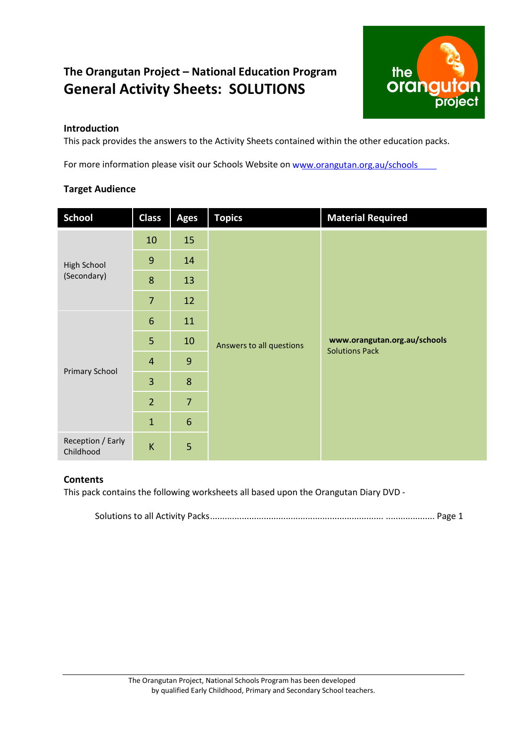### **The Orangutan Project – National Education Program General Activity Sheets: SOLUTIONS**



#### **Introduction**

This pack provides the answers to the Activity Sheets contained within the other education packs.

For more information please visit our Schools Website on w[ww.orangutan.org.au](http://www.education.orangutan.org.au/)/schools

#### **Target Audience**

| <b>School</b>                  | <b>Class</b>   | <b>Ages</b>    | <b>Topics</b>            | <b>Material Required</b>     |  |  |  |
|--------------------------------|----------------|----------------|--------------------------|------------------------------|--|--|--|
| High School<br>(Secondary)     | 10             | 15             | Answers to all questions |                              |  |  |  |
|                                | $\overline{9}$ | 14             |                          |                              |  |  |  |
|                                | 8              | 13             |                          |                              |  |  |  |
|                                | $\overline{7}$ | 12             |                          |                              |  |  |  |
| <b>Primary School</b>          | $6\phantom{1}$ | 11             |                          |                              |  |  |  |
|                                | 5              | 10             |                          | www.orangutan.org.au/schools |  |  |  |
|                                | $\overline{4}$ | 9              |                          | <b>Solutions Pack</b>        |  |  |  |
|                                | 3              | 8              |                          |                              |  |  |  |
|                                | $\overline{2}$ | $\overline{7}$ |                          |                              |  |  |  |
|                                | $\mathbf{1}$   | $6\phantom{1}$ |                          |                              |  |  |  |
| Reception / Early<br>Childhood | $\sf K$        | 5              |                          |                              |  |  |  |

#### **Contents**

This pack contains the following worksheets all based upon the Orangutan Diary DVD -

Solutions to all Activity Packs....................................................................... .................... Page 1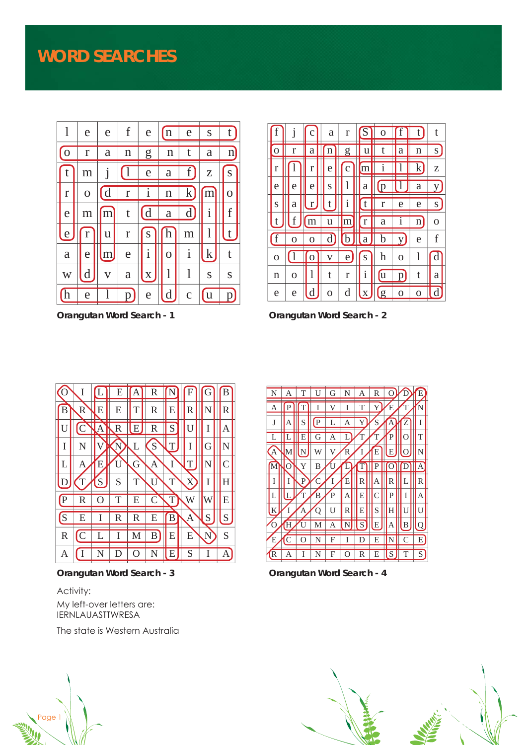

**Orangutan Word Search - 1**

|              |   |   | a | r              |              |   |                |             |   |
|--------------|---|---|---|----------------|--------------|---|----------------|-------------|---|
|              | r | a |   | $\overline{2}$ |              |   |                |             | S |
| $\mathbf{r}$ |   | r | e | с              | m            |   |                | k           | Z |
| e            | e | e | S | 1              | a            |   |                | а           |   |
| S            | a | r |   | 1              |              | r | e              | e           | S |
| t            | f |   | ū |                |              | а |                | $\mathbf n$ | O |
| $\mathbf f$  |   |   | d | D              | a            |   | ۲J             | e           |   |
| $\mathbf O$  |   |   |   | e              | ${\bf S}$    | h | O              | 1           |   |
| n            | O |   | t | $\mathbf r$    | $\mathbf{1}$ |   |                | t           | a |
| e            | e | d | O | d              | X            |   | $\overline{0}$ |             |   |

**Orangutan Word Search - 2**



**Orangutan Word Search - 3**

#### Activity: My left-over letters are: IERNLAUASTTWRESA

The state is Western Australia



**Orangutan Word Search - 4**



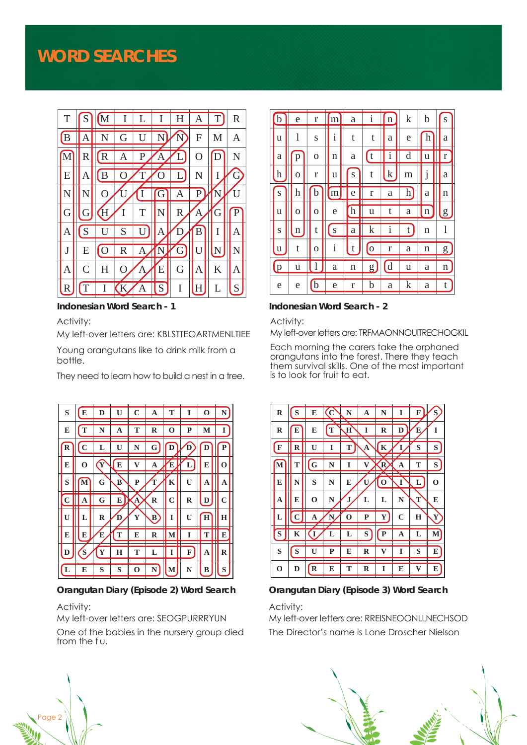## **WORD SEARCHES**



Activity:

My left-over letters are: KBLSTTEOARTMENLTIEE

Young orangutans like to drink milk from a bottle.

They need to learn how to build a nest in a tree.



#### Activity:

My left-over letters are: SEOGPURRRYUN

One of the babies in the nursery group died from the fu.



#### **Indonesian Word Search - 1 Indonesian Word Search - 2**

Activity:

My left-over letters are: TRFMAONNOUITRECHOGKIL

Each morning the carers take the orphaned orangutans into the forest. There they teach them survival skills. One of the most important is to look for fruit to eat.

| $\mathbf R$ | S | E           | C | N        | A | N           | I           | F | S           |
|-------------|---|-------------|---|----------|---|-------------|-------------|---|-------------|
| $\mathbf R$ | E | E           | T | $\bf{H}$ | I | R           | D           | E | I           |
| F           | R | U           | I | T        | A | $\mathbf K$ |             | S | S           |
| М           | T | G           | N | I        |   | R           | A           | T | S           |
| E           | N | S           | N | E        | U | O           |             | L | $\mathbf 0$ |
| A           | E | 0           | N | J        | L | L           | N           | T | E           |
| L           |   | A           |   | റ        | P | $\mathbf Y$ | $\mathbf C$ | Н | Y           |
| S           | K | T           | L | L        | S | P           | A           | L | M           |
| S           | S | П           | P | E        | R | V7          | T           | S | E           |
| $\mathbf 0$ | D | $\mathbf R$ | E | T        | R | T           | E           | V | E           |

**Orangutan Diary (Episode 2) Word Search Orangutan Diary (Episode 3) Word Search**

#### Activity:

My left-over letters are: RREISNEOONLLNECHSOD The Director's name is Lone Droscher Nielson



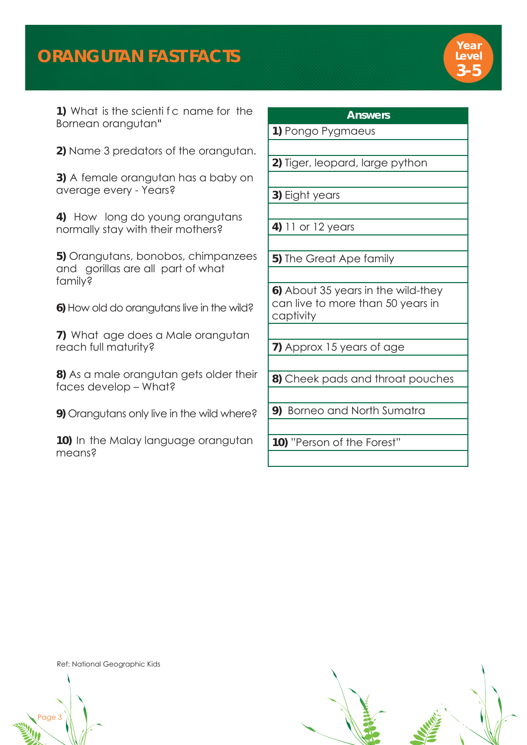# **ORANGUTAN FAST FACTS**



**1)** What is the scienti f c name for the Bornean orangutan3

**2)** Name 3 predators of the orangutan.

**3)** A female orangutan has a baby on average every - Years?

**4)** How long do young orangutans normally stay with their mothers?

**5)** Orangutans, bonobos, chimpanzees and gorillas are all part of what family?

**6)** How old do orangutans live in the wild?

**7)** What age does a Male orangutan reach full maturity?

**8)** As a male orangutan gets older their faces develop – What?

**9)** Orangutans only live in the wild where?

**10)** In the Malay language orangutan means?

### **Answers**

**1)** Pongo Pygmaeus

**2)** Tiger, leopard, large python

**3)** Eight years

**4)** 11 or 12 years

**5)** The Great Ape family

**6)** About 35 years in the wild-they can live to more than 50 years in captivity

**7)** Approx 15 years of age

**8)** Cheek pads and throat pouches

**9)** Borneo and North Sumatra

**10)** "Person of the Forest"

Ref: National Geographic Kids

age 3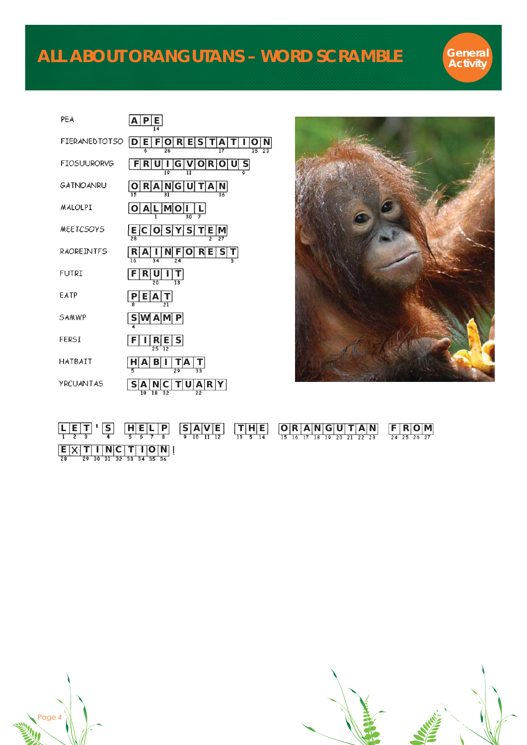

| PEA                  | <u>E</u><br>P<br>$\overline{\mathsf{A}}$<br>$\overline{14}$                                                   |
|----------------------|---------------------------------------------------------------------------------------------------------------|
| <b>FIERANEDTOTSO</b> | E S<br>R<br>T<br>A<br>N<br>Е<br>T<br>ı<br>F<br>Ο<br>ID<br>$\mathbf \iota$<br>17<br>35<br>$23^{-}$             |
| <b>FIOSUURORVG</b>   | $rac{S}{\sqrt{2}}$<br>U<br>O R<br>R<br>V<br>U<br>G<br>19                                                      |
| GATNOANRU            | N G<br>A N <br>R<br>Α<br>T                                                                                    |
| MALOLPI              | M O<br>А<br>L                                                                                                 |
| <b>MEETCSOYS</b>     | S<br>S<br>$\frac{E}{28}$<br> E<br>Υ<br>T<br>∣M∣                                                               |
| RAOREINTFS           | S<br>ΝI<br>F<br>$R$ E<br>R<br>А<br>Ţ<br>ı<br>O<br>24<br>١ń<br>$\overline{34}$                                 |
| <b>FUTRI</b>         | R<br>U<br>F<br>I<br>T<br>$\overline{13}$<br>20                                                                |
| EATP                 | E<br>P<br>Α                                                                                                   |
| SAMWP                | $\overline{\mathsf{S}}$<br>w<br>P.<br>А<br>IMI                                                                |
| FERSI                | S <br>R<br>E<br>F<br>$\overline{12}$<br>25                                                                    |
| HATBAIT              | B<br>$\frac{H}{5}$<br>Ţ<br>A<br>ΙA<br>L<br>$\overline{33}$<br>$\overline{29}$                                 |
| YRCUANTAS            | S<br>R  <br>Υ<br>А<br>N<br>U<br>Α<br>$\overline{10}$<br>$\overline{18}$<br>$\overline{32}$<br>$\overline{22}$ |



|                    | $\boxed{L \mid E \mid T \mid S}$ $\boxed{S}$ $\boxed{H \mid E \mid L \mid P}$ $\boxed{S \mid A \mid V \mid E}$ $\boxed{S \mid A \mid V \mid E}$ $\boxed{S \mid A \mid V \mid E}$ $\boxed{S \mid A \mid V \mid E}$ $\boxed{S \mid H \mid V \mid E}$ $\boxed{S \mid H \mid V \mid E}$ $\boxed{S \mid H \mid V \mid E}$ $\boxed{S \mid A \mid V \mid E}$ $\boxed{S \mid H \mid E}$ $\boxed{S \mid A \mid V \mid E}$ $\boxed{S \mid A \mid V \$ |  |
|--------------------|---------------------------------------------------------------------------------------------------------------------------------------------------------------------------------------------------------------------------------------------------------------------------------------------------------------------------------------------------------------------------------------------------------------------------------------------|--|
| E[X T N C T 1 O N] |                                                                                                                                                                                                                                                                                                                                                                                                                                             |  |